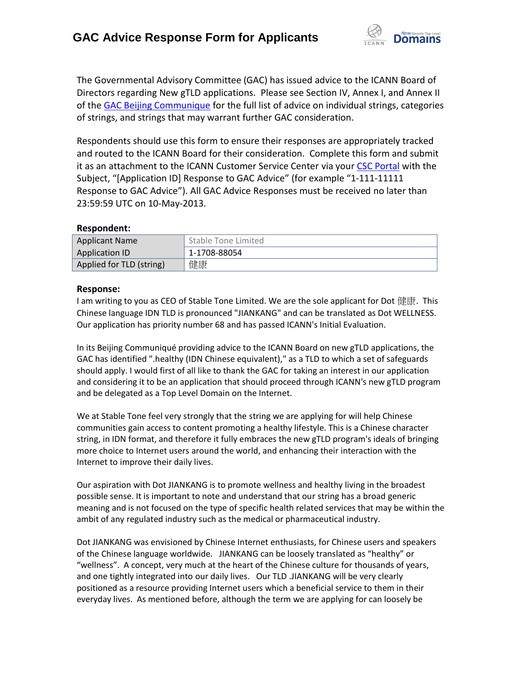

The Governmental Advisory Committee (GAC) has issued advice to the ICANN Board of Directors regarding New gTLD applications. Please see Section IV, Annex I, and Annex II of th[e GAC Beijing Communique](http://www.icann.org/en/news/correspondence/gac-to-board-18apr13-en.pdf) for the full list of advice on individual strings, categories of strings, and strings that may warrant further GAC consideration.

Respondents should use this form to ensure their responses are appropriately tracked and routed to the ICANN Board for their consideration. Complete this form and submit it as an attachment to the ICANN Customer Service Center via your CSC [Portal](https://myicann.secure.force.com/) with the Subject, "[Application ID] Response to GAC Advice" (for example "1-111-11111 Response to GAC Advice"). All GAC Advice Responses must be received no later than 23:59:59 UTC on 10-May-2013.

## **Respondent:**

| <b>Applicant Name</b>    | Stable Tone Limited |
|--------------------------|---------------------|
| Application ID           | 1-1708-88054        |
| Applied for TLD (string) | 健康                  |

## **Response:**

I am writing to you as CEO of Stable Tone Limited. We are the sole applicant for Dot 健康. This Chinese language IDN TLD is pronounced "JIANKANG" and can be translated as Dot WELLNESS. Our application has priority number 68 and has passed ICANN's Initial Evaluation.

In its Beijing Communiqué providing advice to the ICANN Board on new gTLD applications, the GAC has identified ".healthy (IDN Chinese equivalent)," as a TLD to which a set of safeguards should apply. I would first of all like to thank the GAC for taking an interest in our application and considering it to be an application that should proceed through ICANN's new gTLD program and be delegated as a Top Level Domain on the Internet.

We at Stable Tone feel very strongly that the string we are applying for will help Chinese communities gain access to content promoting a healthy lifestyle. This is a Chinese character string, in IDN format, and therefore it fully embraces the new gTLD program's ideals of bringing more choice to Internet users around the world, and enhancing their interaction with the Internet to improve their daily lives.

Our aspiration with Dot JIANKANG is to promote wellness and healthy living in the broadest possible sense. It is important to note and understand that our string has a broad generic meaning and is not focused on the type of specific health related services that may be within the ambit of any regulated industry such as the medical or pharmaceutical industry.

Dot JIANKANG was envisioned by Chinese Internet enthusiasts, for Chinese users and speakers of the Chinese language worldwide. JIANKANG can be loosely translated as "healthy" or "wellness". A concept, very much at the heart of the Chinese culture for thousands of years, and one tightly integrated into our daily lives. Our TLD .JIANKANG will be very clearly positioned as a resource providing Internet users which a beneficial service to them in their everyday lives. As mentioned before, although the term we are applying for can loosely be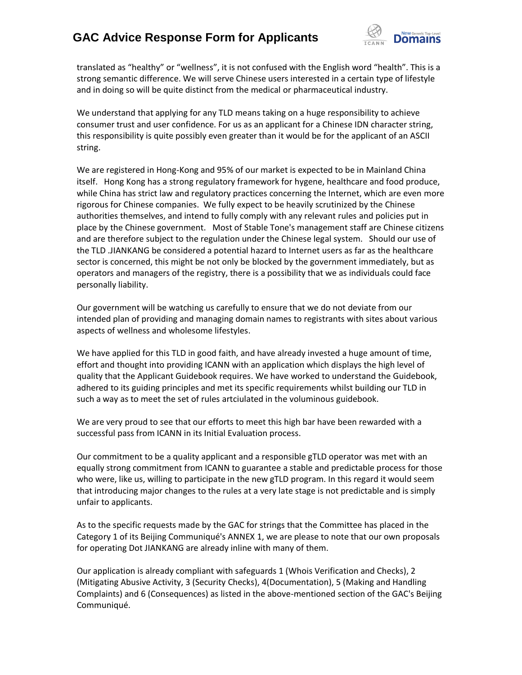## **GAC Advice Response Form for Applicants**



translated as "healthy" or "wellness", it is not confused with the English word "health". This is a strong semantic difference. We will serve Chinese users interested in a certain type of lifestyle and in doing so will be quite distinct from the medical or pharmaceutical industry.

We understand that applying for any TLD means taking on a huge responsibility to achieve consumer trust and user confidence. For us as an applicant for a Chinese IDN character string, this responsibility is quite possibly even greater than it would be for the applicant of an ASCII string.

We are registered in Hong-Kong and 95% of our market is expected to be in Mainland China itself. Hong Kong has a strong regulatory framework for hygene, healthcare and food produce, while China has strict law and regulatory practices concerning the Internet, which are even more rigorous for Chinese companies. We fully expect to be heavily scrutinized by the Chinese authorities themselves, and intend to fully comply with any relevant rules and policies put in place by the Chinese government. Most of Stable Tone's management staff are Chinese citizens and are therefore subject to the regulation under the Chinese legal system. Should our use of the TLD .JIANKANG be considered a potential hazard to Internet users as far as the healthcare sector is concerned, this might be not only be blocked by the government immediately, but as operators and managers of the registry, there is a possibility that we as individuals could face personally liability.

Our government will be watching us carefully to ensure that we do not deviate from our intended plan of providing and managing domain names to registrants with sites about various aspects of wellness and wholesome lifestyles.

We have applied for this TLD in good faith, and have already invested a huge amount of time, effort and thought into providing ICANN with an application which displays the high level of quality that the Applicant Guidebook requires. We have worked to understand the Guidebook, adhered to its guiding principles and met its specific requirements whilst building our TLD in such a way as to meet the set of rules artciulated in the voluminous guidebook.

We are very proud to see that our efforts to meet this high bar have been rewarded with a successful pass from ICANN in its Initial Evaluation process.

Our commitment to be a quality applicant and a responsible gTLD operator was met with an equally strong commitment from ICANN to guarantee a stable and predictable process for those who were, like us, willing to participate in the new gTLD program. In this regard it would seem that introducing major changes to the rules at a very late stage is not predictable and is simply unfair to applicants.

As to the specific requests made by the GAC for strings that the Committee has placed in the Category 1 of its Beijing Communiqué's ANNEX 1, we are please to note that our own proposals for operating Dot JIANKANG are already inline with many of them.

Our application is already compliant with safeguards 1 (Whois Verification and Checks), 2 (Mitigating Abusive Activity, 3 (Security Checks), 4(Documentation), 5 (Making and Handling Complaints) and 6 (Consequences) as listed in the above-mentioned section of the GAC's Beijing Communiqué.